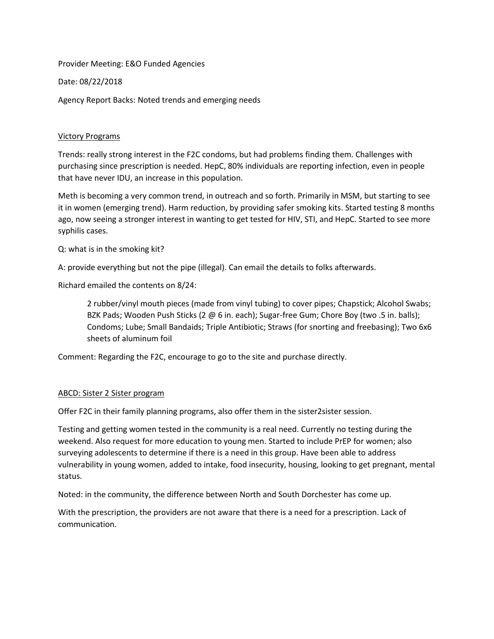Provider Meeting: E&O Funded Agencies

Date: 08/22/2018

Agency Report Backs: Noted trends and emerging needs

### Victory Programs

Trends: really strong interest in the F2C condoms, but had problems finding them. Challenges with purchasing since prescription is needed. HepC, 80% individuals are reporting infection, even in people that have never IDU, an increase in this population.

Meth is becoming a very common trend, in outreach and so forth. Primarily in MSM, but starting to see it in women (emerging trend). Harm reduction, by providing safer smoking kits. Started testing 8 months ago, now seeing a stronger interest in wanting to get tested for HIV, STI, and HepC. Started to see more syphilis cases.

Q: what is in the smoking kit?

A: provide everything but not the pipe (illegal). Can email the details to folks afterwards.

Richard emailed the contents on 8/24:

2 rubber/vinyl mouth pieces (made from vinyl tubing) to cover pipes; Chapstick; Alcohol Swabs; BZK Pads; Wooden Push Sticks (2 @ 6 in. each); Sugar-free Gum; Chore Boy (two .5 in. balls); Condoms; Lube; Small Bandaids; Triple Antibiotic; Straws (for snorting and freebasing); Two 6x6 sheets of aluminum foil

Comment: Regarding the F2C, encourage to go to the site and purchase directly.

#### ABCD: Sister 2 Sister program

Offer F2C in their family planning programs, also offer them in the sister2sister session.

Testing and getting women tested in the community is a real need. Currently no testing during the weekend. Also request for more education to young men. Started to include PrEP for women; also surveying adolescents to determine if there is a need in this group. Have been able to address vulnerability in young women, added to intake, food insecurity, housing, looking to get pregnant, mental status.

Noted: in the community, the difference between North and South Dorchester has come up.

With the prescription, the providers are not aware that there is a need for a prescription. Lack of communication.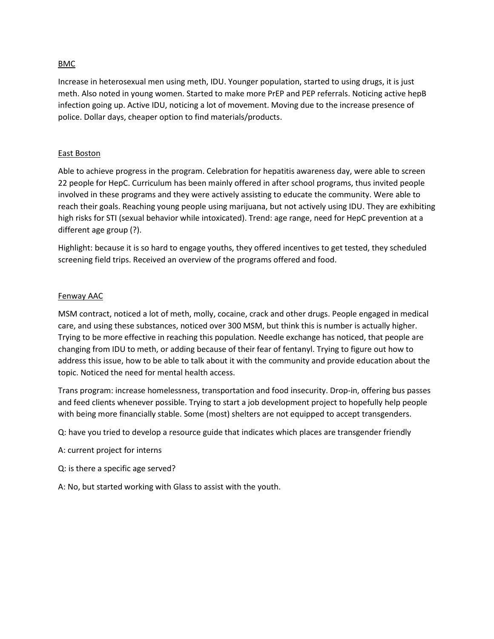### BMC

Increase in heterosexual men using meth, IDU. Younger population, started to using drugs, it is just meth. Also noted in young women. Started to make more PrEP and PEP referrals. Noticing active hepB infection going up. Active IDU, noticing a lot of movement. Moving due to the increase presence of police. Dollar days, cheaper option to find materials/products.

### East Boston

Able to achieve progress in the program. Celebration for hepatitis awareness day, were able to screen 22 people for HepC. Curriculum has been mainly offered in after school programs, thus invited people involved in these programs and they were actively assisting to educate the community. Were able to reach their goals. Reaching young people using marijuana, but not actively using IDU. They are exhibiting high risks for STI (sexual behavior while intoxicated). Trend: age range, need for HepC prevention at a different age group (?).

Highlight: because it is so hard to engage youths, they offered incentives to get tested, they scheduled screening field trips. Received an overview of the programs offered and food.

#### Fenway AAC

MSM contract, noticed a lot of meth, molly, cocaine, crack and other drugs. People engaged in medical care, and using these substances, noticed over 300 MSM, but think this is number is actually higher. Trying to be more effective in reaching this population. Needle exchange has noticed, that people are changing from IDU to meth, or adding because of their fear of fentanyl. Trying to figure out how to address this issue, how to be able to talk about it with the community and provide education about the topic. Noticed the need for mental health access.

Trans program: increase homelessness, transportation and food insecurity. Drop-in, offering bus passes and feed clients whenever possible. Trying to start a job development project to hopefully help people with being more financially stable. Some (most) shelters are not equipped to accept transgenders.

Q: have you tried to develop a resource guide that indicates which places are transgender friendly

A: current project for interns

Q: is there a specific age served?

A: No, but started working with Glass to assist with the youth.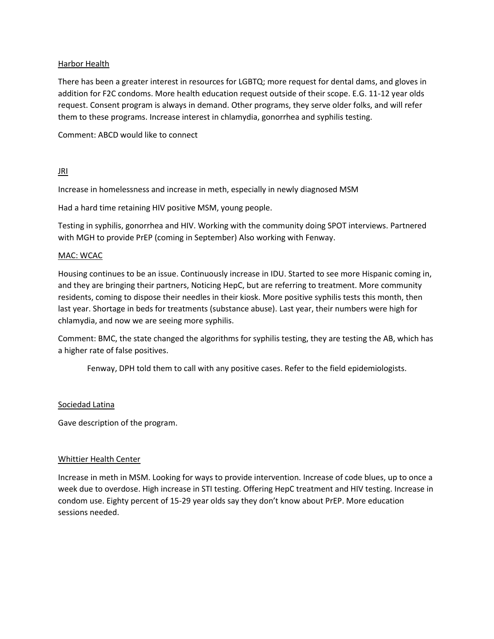### Harbor Health

There has been a greater interest in resources for LGBTQ; more request for dental dams, and gloves in addition for F2C condoms. More health education request outside of their scope. E.G. 11-12 year olds request. Consent program is always in demand. Other programs, they serve older folks, and will refer them to these programs. Increase interest in chlamydia, gonorrhea and syphilis testing.

Comment: ABCD would like to connect

# JRI

Increase in homelessness and increase in meth, especially in newly diagnosed MSM

Had a hard time retaining HIV positive MSM, young people.

Testing in syphilis, gonorrhea and HIV. Working with the community doing SPOT interviews. Partnered with MGH to provide PrEP (coming in September) Also working with Fenway.

### MAC: WCAC

Housing continues to be an issue. Continuously increase in IDU. Started to see more Hispanic coming in, and they are bringing their partners, Noticing HepC, but are referring to treatment. More community residents, coming to dispose their needles in their kiosk. More positive syphilis tests this month, then last year. Shortage in beds for treatments (substance abuse). Last year, their numbers were high for chlamydia, and now we are seeing more syphilis.

Comment: BMC, the state changed the algorithms for syphilis testing, they are testing the AB, which has a higher rate of false positives.

Fenway, DPH told them to call with any positive cases. Refer to the field epidemiologists.

### Sociedad Latina

Gave description of the program.

### Whittier Health Center

Increase in meth in MSM. Looking for ways to provide intervention. Increase of code blues, up to once a week due to overdose. High increase in STI testing. Offering HepC treatment and HIV testing. Increase in condom use. Eighty percent of 15-29 year olds say they don't know about PrEP. More education sessions needed.